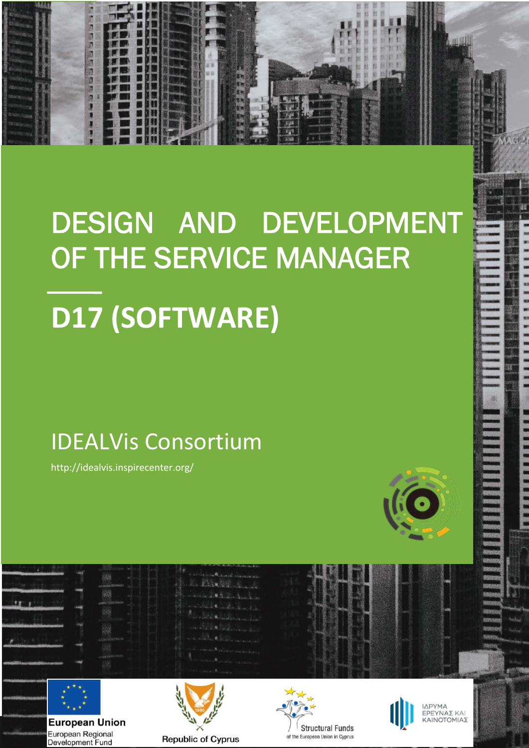# **D17 (SOFTWARE)** DESIGN AND DEVELOPMENT OF THE SERVICE MANAGER

# IDEALVis Consortium

http://idealvis.inspirecenter.org/





**1**

近次的事情

**European Union** European Regional Development Fund







ΙΔΡΥΜΑ ΕΡΕΥΝΑΣ ΚΑΙ<br>ΚΑΙΝΟΤΟΜΙΑΣ

1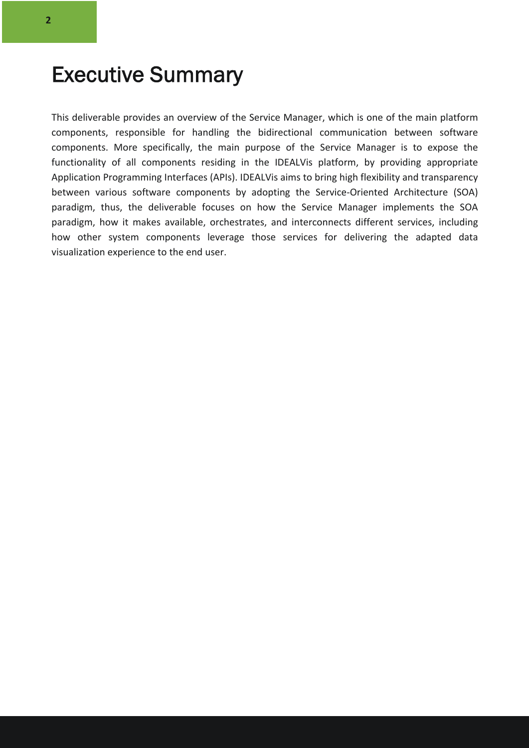### Executive Summary

This deliverable provides an overview of the Service Manager, which is one of the main platform components, responsible for handling the bidirectional communication between software components. More specifically, the main purpose of the Service Manager is to expose the functionality of all components residing in the IDEALVis platform, by providing appropriate Application Programming Interfaces (APIs). IDEALVis aims to bring high flexibility and transparency between various software components by adopting the Service-Oriented Architecture (SOA) paradigm, thus, the deliverable focuses on how the Service Manager implements the SOA paradigm, how it makes available, orchestrates, and interconnects different services, including how other system components leverage those services for delivering the adapted data visualization experience to the end user.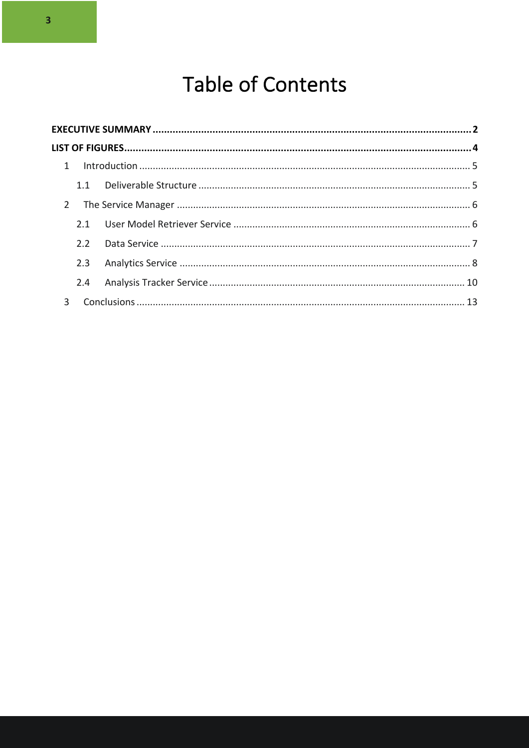## **Table of Contents**

| $2^{\circ}$    |     |  |  |  |
|----------------|-----|--|--|--|
|                |     |  |  |  |
|                | 2.2 |  |  |  |
|                | 2.3 |  |  |  |
|                |     |  |  |  |
| $\overline{3}$ |     |  |  |  |
|                |     |  |  |  |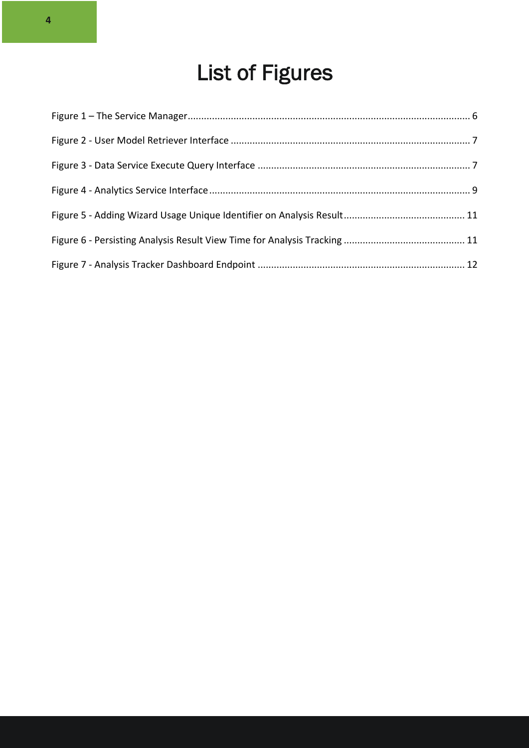# List of Figures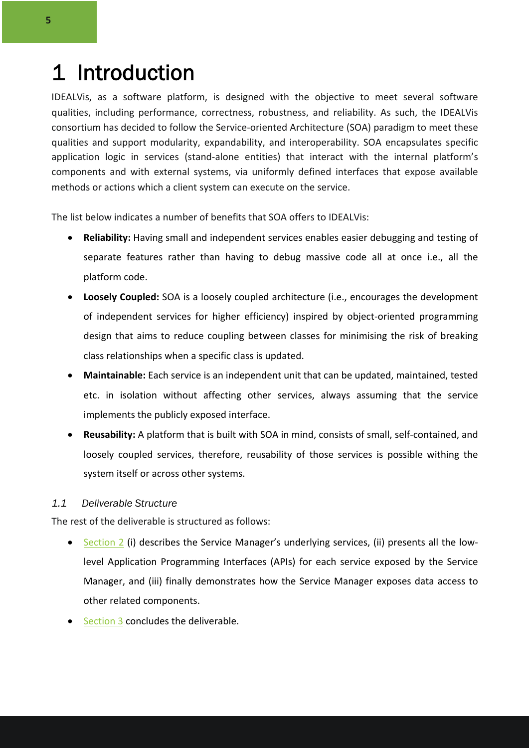## 1 Introduction

IDEALVis, as a software platform, is designed with the objective to meet several software qualities, including performance, correctness, robustness, and reliability. As such, the IDEALVis consortium has decided to follow the Service-oriented Architecture (SOA) paradigm to meet these qualities and support modularity, expandability, and interoperability. SOA encapsulates specific application logic in services (stand-alone entities) that interact with the internal platform's components and with external systems, via uniformly defined interfaces that expose available methods or actions which a client system can execute on the service.

The list below indicates a number of benefits that SOA offers to IDEALVis:

- **Reliability:** Having small and independent services enables easier debugging and testing of separate features rather than having to debug massive code all at once i.e., all the platform code.
- **Loosely Coupled:** SOA is a loosely coupled architecture (i.e., encourages the development of independent services for higher efficiency) inspired by object-oriented programming design that aims to reduce coupling between classes for minimising the risk of breaking class relationships when a specific class is updated.
- **Maintainable:** Each service is an independent unit that can be updated, maintained, tested etc. in isolation without affecting other services, always assuming that the service implements the publicly exposed interface.
- **Reusability:** A platform that is built with SOA in mind, consists of small, self-contained, and loosely coupled services, therefore, reusability of those services is possible withing the system itself or across other systems.

#### *1.1 Deliverable Structure*

The rest of the deliverable is structured as follows:

- Section 2 (i) describes the Service Manager's underlying services, (ii) presents all the lowlevel Application Programming Interfaces (APIs) for each service exposed by the Service Manager, and (iii) finally demonstrates how the Service Manager exposes data access to other related components.
- Section 3 concludes the deliverable.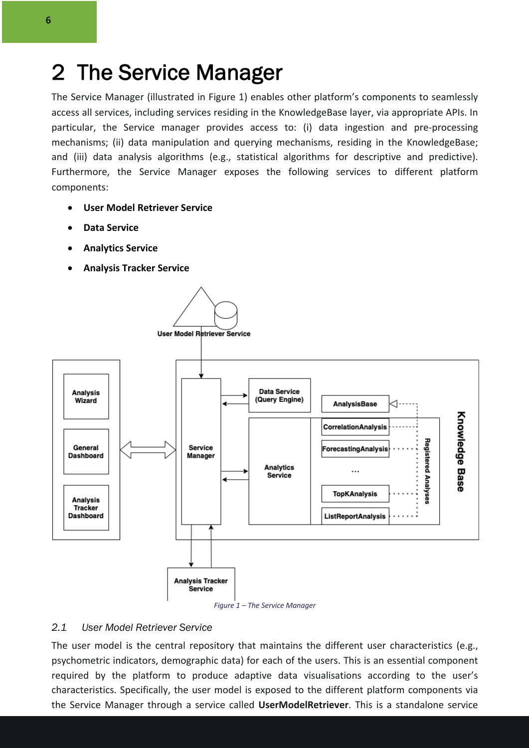### 2 The Service Manager

The Service Manager (illustrated in Figure 1) enables other platform's components to seamlessly access all services, including services residing in the KnowledgeBase layer, via appropriate APIs. In particular, the Service manager provides access to: (i) data ingestion and pre-processing mechanisms; (ii) data manipulation and querying mechanisms, residing in the KnowledgeBase; and (iii) data analysis algorithms (e.g., statistical algorithms for descriptive and predictive). Furthermore, the Service Manager exposes the following services to different platform components:

- **User Model Retriever Service**
- **Data Service**
- **Analytics Service**
- **Analysis Tracker Service**





#### *2.1 User Model Retriever Service*

The user model is the central repository that maintains the different user characteristics (e.g., psychometric indicators, demographic data) for each of the users. This is an essential component required by the platform to produce adaptive data visualisations according to the user's characteristics. Specifically, the user model is exposed to the different platform components via the Service Manager through a service called **UserModelRetriever**. This is a standalone service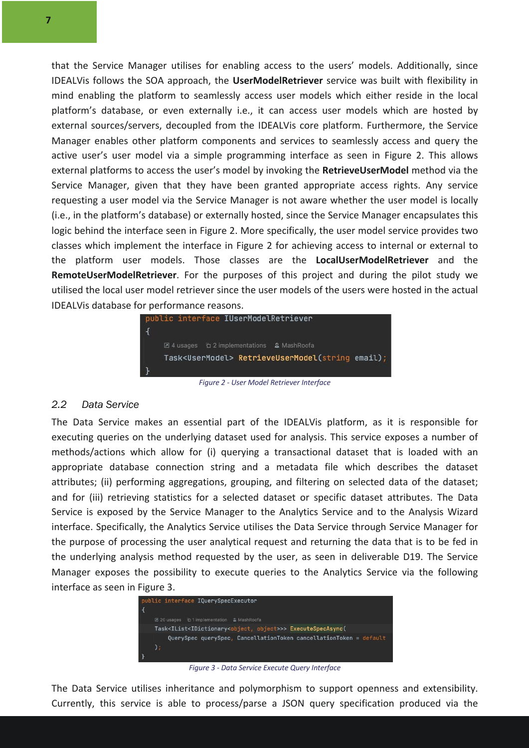that the Service Manager utilises for enabling access to the users' models. Additionally, since IDEALVis follows the SOA approach, the **UserModelRetriever** service was built with flexibility in mind enabling the platform to seamlessly access user models which either reside in the local platform's database, or even externally i.e., it can access user models which are hosted by external sources/servers, decoupled from the IDEALVis core platform. Furthermore, the Service Manager enables other platform components and services to seamlessly access and query the active user's user model via a simple programming interface as seen in Figure 2. This allows external platforms to access the user's model by invoking the **RetrieveUserModel** method via the Service Manager, given that they have been granted appropriate access rights. Any service requesting a user model via the Service Manager is not aware whether the user model is locally (i.e., in the platform's database) or externally hosted, since the Service Manager encapsulates this logic behind the interface seen in Figure 2. More specifically, the user model service provides two classes which implement the interface in Figure 2 for achieving access to internal or external to the platform user models. Those classes are the **LocalUserModelRetriever** and the **RemoteUserModelRetriever**. For the purposes of this project and during the pilot study we utilised the local user model retriever since the user models of the users were hosted in the actual IDEALVis database for performance reasons.



*Figure 2 - User Model Retriever Interface*

#### *2.2 Data Service*

The Data Service makes an essential part of the IDEALVis platform, as it is responsible for executing queries on the underlying dataset used for analysis. This service exposes a number of methods/actions which allow for (i) querying a transactional dataset that is loaded with an appropriate database connection string and a metadata file which describes the dataset attributes; (ii) performing aggregations, grouping, and filtering on selected data of the dataset; and for (iii) retrieving statistics for a selected dataset or specific dataset attributes. The Data Service is exposed by the Service Manager to the Analytics Service and to the Analysis Wizard interface. Specifically, the Analytics Service utilises the Data Service through Service Manager for the purpose of processing the user analytical request and returning the data that is to be fed in the underlying analysis method requested by the user, as seen in deliverable D19. The Service Manager exposes the possibility to execute queries to the Analytics Service via the following interface as seen in Figure 3.



*Figure 3 - Data Service Execute Query Interface*

The Data Service utilises inheritance and polymorphism to support openness and extensibility. Currently, this service is able to process/parse a JSON query specification produced via the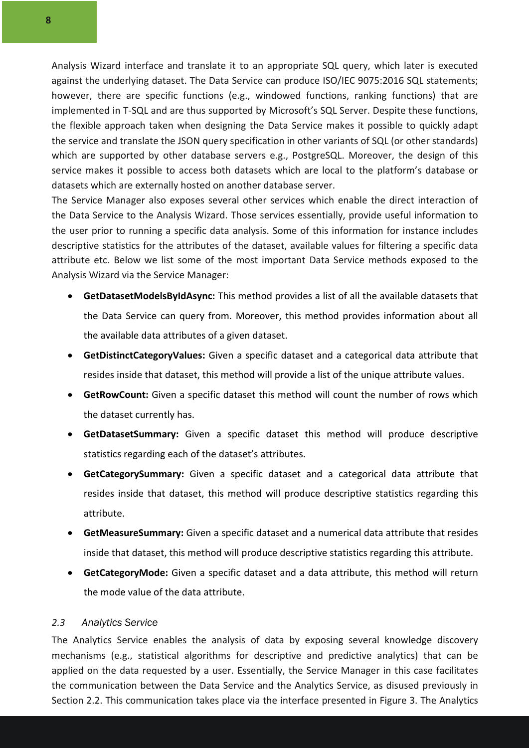Analysis Wizard interface and translate it to an appropriate SQL query, which later is executed against the underlying dataset. The Data Service can produce ISO/IEC 9075:2016 SQL statements; however, there are specific functions (e.g., windowed functions, ranking functions) that are implemented in T-SQL and are thus supported by Microsoft's SQL Server. Despite these functions, the flexible approach taken when designing the Data Service makes it possible to quickly adapt the service and translate the JSON query specification in other variants of SQL (or other standards) which are supported by other database servers e.g., PostgreSQL. Moreover, the design of this service makes it possible to access both datasets which are local to the platform's database or datasets which are externally hosted on another database server.

The Service Manager also exposes several other services which enable the direct interaction of the Data Service to the Analysis Wizard. Those services essentially, provide useful information to the user prior to running a specific data analysis. Some of this information for instance includes descriptive statistics for the attributes of the dataset, available values for filtering a specific data attribute etc. Below we list some of the most important Data Service methods exposed to the Analysis Wizard via the Service Manager:

- **GetDatasetModelsByIdAsync:** This method provides a list of all the available datasets that the Data Service can query from. Moreover, this method provides information about all the available data attributes of a given dataset.
- **GetDistinctCategoryValues:** Given a specific dataset and a categorical data attribute that resides inside that dataset, this method will provide a list of the unique attribute values.
- **GetRowCount:** Given a specific dataset this method will count the number of rows which the dataset currently has.
- **GetDatasetSummary:** Given a specific dataset this method will produce descriptive statistics regarding each of the dataset's attributes.
- **GetCategorySummary:** Given a specific dataset and a categorical data attribute that resides inside that dataset, this method will produce descriptive statistics regarding this attribute.
- **GetMeasureSummary:** Given a specific dataset and a numerical data attribute that resides inside that dataset, this method will produce descriptive statistics regarding this attribute.
- **GetCategoryMode:** Given a specific dataset and a data attribute, this method will return the mode value of the data attribute.

#### *2.3 Analytics Service*

The Analytics Service enables the analysis of data by exposing several knowledge discovery mechanisms (e.g., statistical algorithms for descriptive and predictive analytics) that can be applied on the data requested by a user. Essentially, the Service Manager in this case facilitates the communication between the Data Service and the Analytics Service, as disused previously in Section 2.2. This communication takes place via the interface presented in Figure 3. The Analytics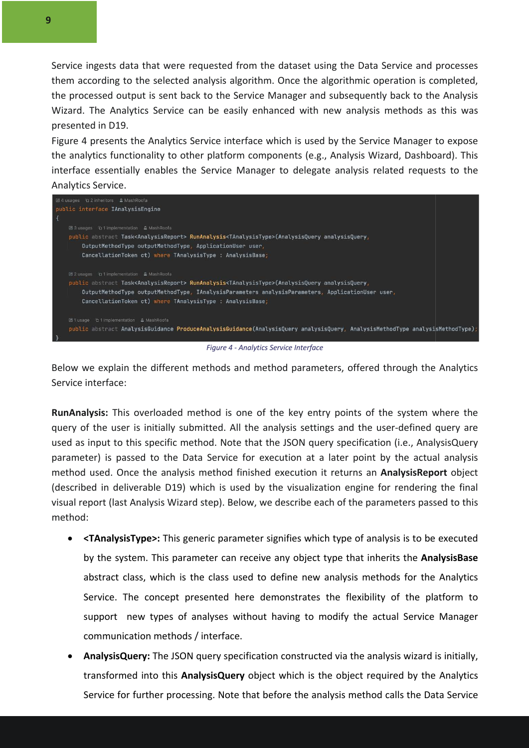Service ingests data that were requested from the dataset using the Data Service and processes them according to the selected analysis algorithm. Once the algorithmic operation is completed, the processed output is sent back to the Service Manager and subsequently back to the Analysis Wizard. The Analytics Service can be easily enhanced with new analysis methods as this was presented in D19.

Figure 4 presents the Analytics Service interface which is used by the Service Manager to expose the analytics functionality to other platform components (e.g., Analysis Wizard, Dashboard). This interface essentially enables the Service Manager to delegate analysis related requests to the Analytics Service.



*Figure 4 - Analytics Service Interface*

Below we explain the different methods and method parameters, offered through the Analytics Service interface:

**RunAnalysis:** This overloaded method is one of the key entry points of the system where the query of the user is initially submitted. All the analysis settings and the user-defined query are used as input to this specific method. Note that the JSON query specification (i.e., AnalysisQuery parameter) is passed to the Data Service for execution at a later point by the actual analysis method used. Once the analysis method finished execution it returns an **AnalysisReport** object (described in deliverable D19) which is used by the visualization engine for rendering the final visual report (last Analysis Wizard step). Below, we describe each of the parameters passed to this method:

- **<TAnalysisType>:** This generic parameter signifies which type of analysis is to be executed by the system. This parameter can receive any object type that inherits the **AnalysisBase** abstract class, which is the class used to define new analysis methods for the Analytics Service. The concept presented here demonstrates the flexibility of the platform to support new types of analyses without having to modify the actual Service Manager communication methods / interface.
- **AnalysisQuery:** The JSON query specification constructed via the analysis wizard is initially, transformed into this **AnalysisQuery** object which is the object required by the Analytics Service for further processing. Note that before the analysis method calls the Data Service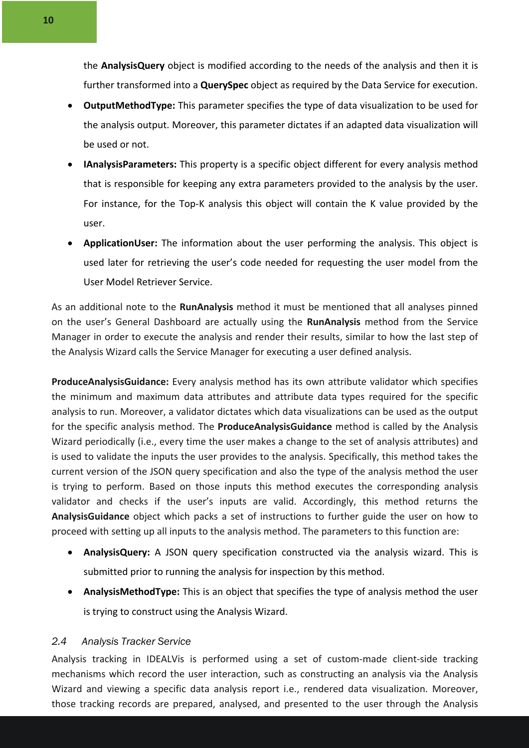the **AnalysisQuery** object is modified according to the needs of the analysis and then it is further transformed into a **QuerySpec** object as required by the Data Service for execution.

- **OutputMethodType:** This parameter specifies the type of data visualization to be used for the analysis output. Moreover, this parameter dictates if an adapted data visualization will be used or not.
- **IAnalysisParameters:** This property is a specific object different for every analysis method that is responsible for keeping any extra parameters provided to the analysis by the user. For instance, for the Top-K analysis this object will contain the K value provided by the user.
- **ApplicationUser:** The information about the user performing the analysis. This object is used later for retrieving the user's code needed for requesting the user model from the User Model Retriever Service.

As an additional note to the **RunAnalysis** method it must be mentioned that all analyses pinned on the user's General Dashboard are actually using the **RunAnalysis** method from the Service Manager in order to execute the analysis and render their results, similar to how the last step of the Analysis Wizard calls the Service Manager for executing a user defined analysis.

**ProduceAnalysisGuidance:** Every analysis method has its own attribute validator which specifies the minimum and maximum data attributes and attribute data types required for the specific analysis to run. Moreover, a validator dictates which data visualizations can be used as the output for the specific analysis method. The **ProduceAnalysisGuidance** method is called by the Analysis Wizard periodically (i.e., every time the user makes a change to the set of analysis attributes) and is used to validate the inputs the user provides to the analysis. Specifically, this method takes the current version of the JSON query specification and also the type of the analysis method the user is trying to perform. Based on those inputs this method executes the corresponding analysis validator and checks if the user's inputs are valid. Accordingly, this method returns the **AnalysisGuidance** object which packs a set of instructions to further guide the user on how to proceed with setting up all inputs to the analysis method. The parameters to this function are:

- **AnalysisQuery:** A JSON query specification constructed via the analysis wizard. This is submitted prior to running the analysis for inspection by this method.
- **AnalysisMethodType:** This is an object that specifies the type of analysis method the user is trying to construct using the Analysis Wizard.

#### *2.4 Analysis Tracker Service*

Analysis tracking in IDEALVis is performed using a set of custom-made client-side tracking mechanisms which record the user interaction, such as constructing an analysis via the Analysis Wizard and viewing a specific data analysis report i.e., rendered data visualization. Moreover, those tracking records are prepared, analysed, and presented to the user through the Analysis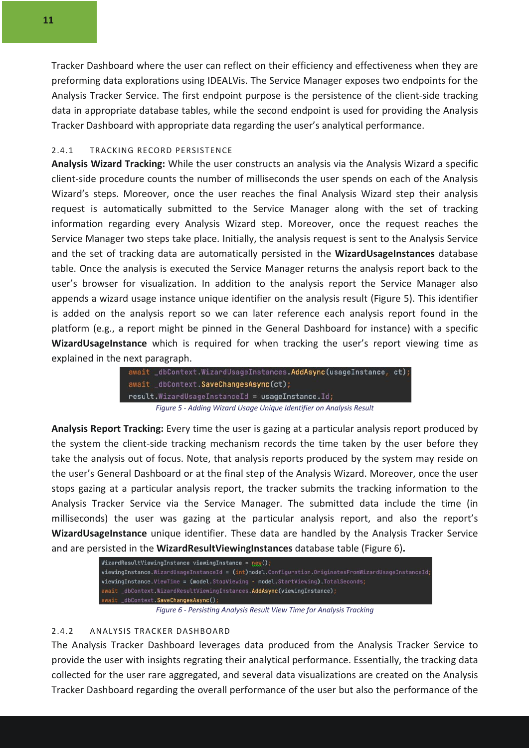Tracker Dashboard where the user can reflect on their efficiency and effectiveness when they are preforming data explorations using IDEALVis. The Service Manager exposes two endpoints for the Analysis Tracker Service. The first endpoint purpose is the persistence of the client-side tracking data in appropriate database tables, while the second endpoint is used for providing the Analysis Tracker Dashboard with appropriate data regarding the user's analytical performance.

#### 2.4.1 TRACKING RECORD PERSISTENCE

**Analysis Wizard Tracking:** While the user constructs an analysis via the Analysis Wizard a specific client-side procedure counts the number of milliseconds the user spends on each of the Analysis Wizard's steps. Moreover, once the user reaches the final Analysis Wizard step their analysis request is automatically submitted to the Service Manager along with the set of tracking information regarding every Analysis Wizard step. Moreover, once the request reaches the Service Manager two steps take place. Initially, the analysis request is sent to the Analysis Service and the set of tracking data are automatically persisted in the **WizardUsageInstances** database table. Once the analysis is executed the Service Manager returns the analysis report back to the user's browser for visualization. In addition to the analysis report the Service Manager also appends a wizard usage instance unique identifier on the analysis result (Figure 5). This identifier is added on the analysis report so we can later reference each analysis report found in the platform (e.g., a report might be pinned in the General Dashboard for instance) with a specific **WizardUsageInstance** which is required for when tracking the user's report viewing time as explained in the next paragraph.

| await dbContext.WizardUsageInstances.AddAsync(usageInstance, ct);   |  |
|---------------------------------------------------------------------|--|
| await _dbContext.SaveChangesAsync(ct);                              |  |
| result.WizardUsageInstanceId = usageInstance.Id;                    |  |
| Figure 5 - Adding Wizard Usage Unique Identifier on Analysis Result |  |

**Analysis Report Tracking:** Every time the user is gazing at a particular analysis report produced by the system the client-side tracking mechanism records the time taken by the user before they take the analysis out of focus. Note, that analysis reports produced by the system may reside on the user's General Dashboard or at the final step of the Analysis Wizard. Moreover, once the user stops gazing at a particular analysis report, the tracker submits the tracking information to the Analysis Tracker Service via the Service Manager. The submitted data include the time (in milliseconds) the user was gazing at the particular analysis report, and also the report's **WizardUsageInstance** unique identifier. These data are handled by the Analysis Tracker Service and are persisted in the **WizardResultViewingInstances** database table (Figure 6)**.**

| WizardResultViewingInstance viewingInstance = $new()$ ;                                              |
|------------------------------------------------------------------------------------------------------|
| viewingInstance.WizardUsageInstanceId = (int)model.Configuration.OriginatesFromWizardUsageInstanceId |
| viewingInstance.ViewTime = (model.StopViewing - model.StartViewing).TotalSeconds;                    |
| await dbContext.WizardResultViewingInstances.AddAsvnc(viewingInstance);                              |
| await dbContext.SaveChangesAsync();                                                                  |

*Figure 6 - Persisting Analysis Result View Time for Analysis Tracking*

#### 2.4.2 ANALYSIS TRACKER DASHBOARD

The Analysis Tracker Dashboard leverages data produced from the Analysis Tracker Service to provide the user with insights regrating their analytical performance. Essentially, the tracking data collected for the user rare aggregated, and several data visualizations are created on the Analysis Tracker Dashboard regarding the overall performance of the user but also the performance of the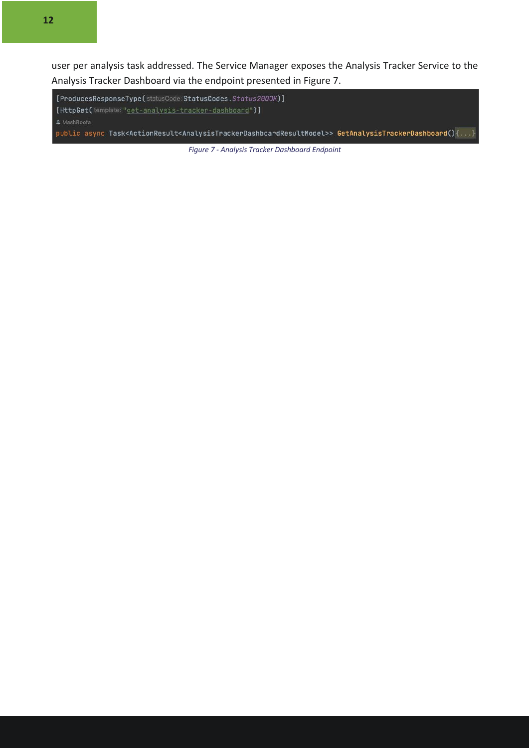**12**

user per analysis task addressed. The Service Manager exposes the Analysis Tracker Service to the Analysis Tracker Dashboard via the endpoint presented in Figure 7.

[ProducesResponseType(statusCode:StatusCodes.Status2000K)] [HttpGet(template: "get-analysis-tracker-dashboard")] public async Task<ActionResult<AnalysisTrackerDashboardResultModel>> GetAnalysisTrackerDashboard(){...}

*Figure 7 - Analysis Tracker Dashboard Endpoint*